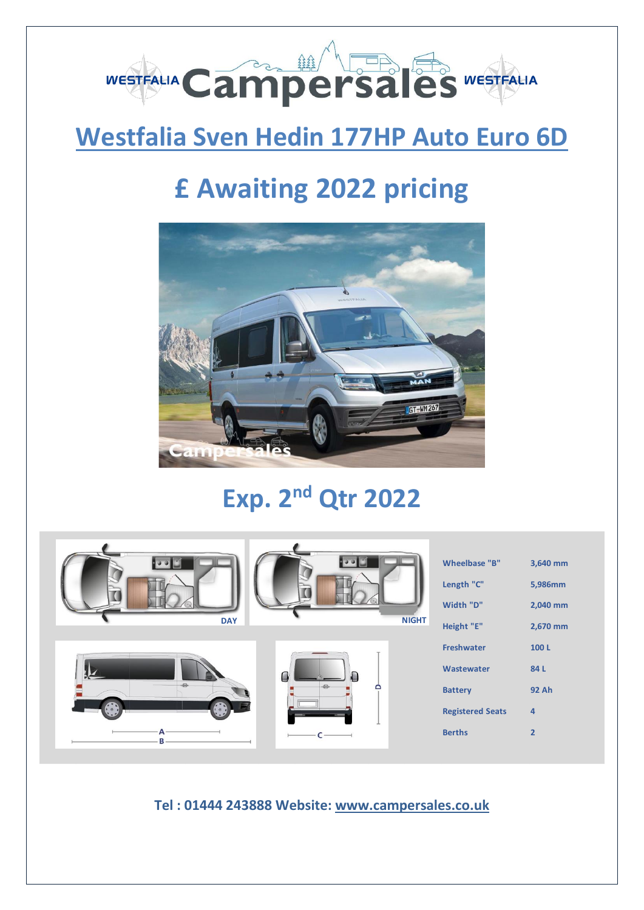

### **Westfalia Sven Hedin 177HP Auto Euro 6D**

# **£ Awaiting 2022 pricing**



## **Exp. 2 nd Qtr 2022**



**Tel : 01444 243888 Website: [www.campersales.co.uk](http://www.campersales.co.uk/)**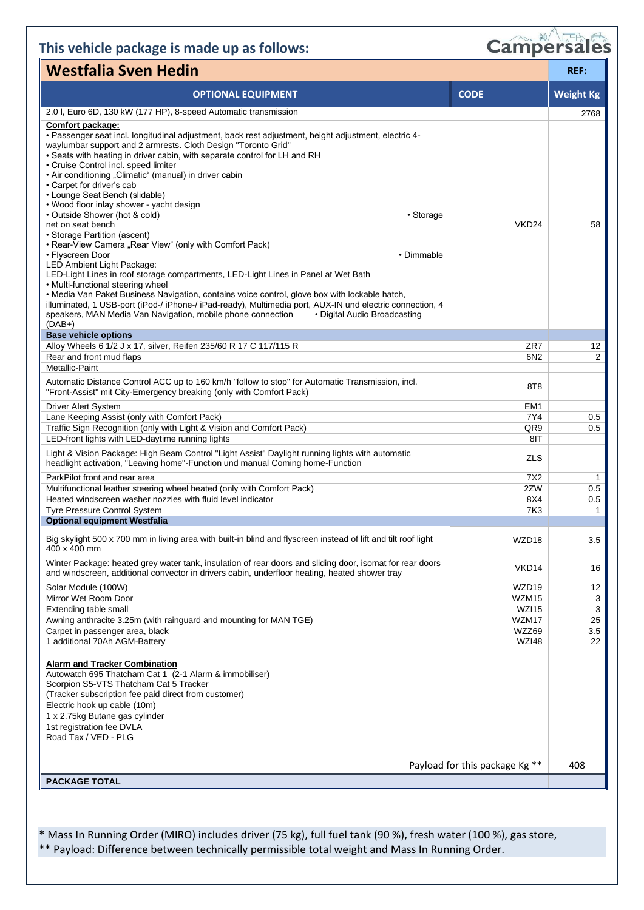### **This vehicle package is made up as follows:**

| <b>Campersales</b> |  |
|--------------------|--|

| <b>Westfalia Sven Hedin</b>                                                                                                                                                                                                                                                                                                                                                                                                                                                                                                                                                                                                                                                                                                                                                                                                                                                                                                                                                                                                                                                                                                                                                 |                   |                      |
|-----------------------------------------------------------------------------------------------------------------------------------------------------------------------------------------------------------------------------------------------------------------------------------------------------------------------------------------------------------------------------------------------------------------------------------------------------------------------------------------------------------------------------------------------------------------------------------------------------------------------------------------------------------------------------------------------------------------------------------------------------------------------------------------------------------------------------------------------------------------------------------------------------------------------------------------------------------------------------------------------------------------------------------------------------------------------------------------------------------------------------------------------------------------------------|-------------------|----------------------|
| <b>OPTIONAL EQUIPMENT</b>                                                                                                                                                                                                                                                                                                                                                                                                                                                                                                                                                                                                                                                                                                                                                                                                                                                                                                                                                                                                                                                                                                                                                   | <b>CODE</b>       | <b>Weight Kg</b>     |
| 2.0 I, Euro 6D, 130 kW (177 HP), 8-speed Automatic transmission                                                                                                                                                                                                                                                                                                                                                                                                                                                                                                                                                                                                                                                                                                                                                                                                                                                                                                                                                                                                                                                                                                             |                   | 2768                 |
| <b>Comfort package:</b><br>· Passenger seat incl. longitudinal adjustment, back rest adjustment, height adjustment, electric 4-<br>waylumbar support and 2 armrests. Cloth Design "Toronto Grid"<br>• Seats with heating in driver cabin, with separate control for LH and RH<br>• Cruise Control incl. speed limiter<br>• Air conditioning "Climatic" (manual) in driver cabin<br>• Carpet for driver's cab<br>• Lounge Seat Bench (slidable)<br>• Wood floor inlay shower - yacht design<br>• Outside Shower (hot & cold)<br>• Storage<br>net on seat bench<br>• Storage Partition (ascent)<br>• Rear-View Camera "Rear View" (only with Comfort Pack)<br>• Flyscreen Door<br>• Dimmable<br>LED Ambient Light Package:<br>LED-Light Lines in roof storage compartments, LED-Light Lines in Panel at Wet Bath<br>• Multi-functional steering wheel<br>• Media Van Paket Business Navigation, contains voice control, glove box with lockable hatch,<br>illuminated, 1 USB-port (iPod-/ iPhone-/ iPad-ready), Multimedia port, AUX-IN und electric connection, 4<br>speakers, MAN Media Van Navigation, mobile phone connection<br>• Digital Audio Broadcasting<br>$(DAB+)$ | VKD <sub>24</sub> | 58                   |
| <b>Base vehicle options</b>                                                                                                                                                                                                                                                                                                                                                                                                                                                                                                                                                                                                                                                                                                                                                                                                                                                                                                                                                                                                                                                                                                                                                 |                   |                      |
| Alloy Wheels 6 1/2 J x 17, silver, Reifen 235/60 R 17 C 117/115 R                                                                                                                                                                                                                                                                                                                                                                                                                                                                                                                                                                                                                                                                                                                                                                                                                                                                                                                                                                                                                                                                                                           | ZR7               | 12<br>$\overline{2}$ |
| Rear and front mud flaps<br><b>Metallic-Paint</b>                                                                                                                                                                                                                                                                                                                                                                                                                                                                                                                                                                                                                                                                                                                                                                                                                                                                                                                                                                                                                                                                                                                           | 6N2               |                      |
| Automatic Distance Control ACC up to 160 km/h "follow to stop" for Automatic Transmission, incl.<br>"Front-Assist" mit City-Emergency breaking (only with Comfort Pack)                                                                                                                                                                                                                                                                                                                                                                                                                                                                                                                                                                                                                                                                                                                                                                                                                                                                                                                                                                                                     | 8T <sub>8</sub>   |                      |
| Driver Alert System                                                                                                                                                                                                                                                                                                                                                                                                                                                                                                                                                                                                                                                                                                                                                                                                                                                                                                                                                                                                                                                                                                                                                         | EM <sub>1</sub>   |                      |
| Lane Keeping Assist (only with Comfort Pack)                                                                                                                                                                                                                                                                                                                                                                                                                                                                                                                                                                                                                                                                                                                                                                                                                                                                                                                                                                                                                                                                                                                                | 7Y4               | 0.5                  |
| Traffic Sign Recognition (only with Light & Vision and Comfort Pack)<br>LED-front lights with LED-daytime running lights                                                                                                                                                                                                                                                                                                                                                                                                                                                                                                                                                                                                                                                                                                                                                                                                                                                                                                                                                                                                                                                    | QR9<br>8IT        | 0.5                  |
| Light & Vision Package: High Beam Control "Light Assist" Daylight running lights with automatic<br>headlight activation, "Leaving home"-Function und manual Coming home-Function                                                                                                                                                                                                                                                                                                                                                                                                                                                                                                                                                                                                                                                                                                                                                                                                                                                                                                                                                                                            | <b>ZLS</b>        |                      |
| ParkPilot front and rear area                                                                                                                                                                                                                                                                                                                                                                                                                                                                                                                                                                                                                                                                                                                                                                                                                                                                                                                                                                                                                                                                                                                                               | 7X2               | 1                    |
| Multifunctional leather steering wheel heated (only with Comfort Pack)                                                                                                                                                                                                                                                                                                                                                                                                                                                                                                                                                                                                                                                                                                                                                                                                                                                                                                                                                                                                                                                                                                      | 2ZW               | 0.5                  |
| Heated windscreen washer nozzles with fluid level indicator                                                                                                                                                                                                                                                                                                                                                                                                                                                                                                                                                                                                                                                                                                                                                                                                                                                                                                                                                                                                                                                                                                                 | 8X4               | 0.5                  |
| Tyre Pressure Control System<br><b>Optional equipment Westfalia</b>                                                                                                                                                                                                                                                                                                                                                                                                                                                                                                                                                                                                                                                                                                                                                                                                                                                                                                                                                                                                                                                                                                         | <b>7K3</b>        | 1                    |
|                                                                                                                                                                                                                                                                                                                                                                                                                                                                                                                                                                                                                                                                                                                                                                                                                                                                                                                                                                                                                                                                                                                                                                             |                   |                      |
| Big skylight 500 x 700 mm in living area with built-in blind and flyscreen instead of lift and tilt roof light<br>400 x 400 mm                                                                                                                                                                                                                                                                                                                                                                                                                                                                                                                                                                                                                                                                                                                                                                                                                                                                                                                                                                                                                                              | WZD18             | 3.5                  |
| Winter Package: heated grey water tank, insulation of rear doors and sliding door, isomat for rear doors<br>and windscreen, additional convector in drivers cabin, underfloor heating, heated shower tray                                                                                                                                                                                                                                                                                                                                                                                                                                                                                                                                                                                                                                                                                                                                                                                                                                                                                                                                                                   | VKD <sub>14</sub> | 16                   |
| Solar Module (100W)                                                                                                                                                                                                                                                                                                                                                                                                                                                                                                                                                                                                                                                                                                                                                                                                                                                                                                                                                                                                                                                                                                                                                         | WZD <sub>19</sub> | 12                   |
| Mirror Wet Room Door                                                                                                                                                                                                                                                                                                                                                                                                                                                                                                                                                                                                                                                                                                                                                                                                                                                                                                                                                                                                                                                                                                                                                        | WZM15             | 3                    |
| Extending table small                                                                                                                                                                                                                                                                                                                                                                                                                                                                                                                                                                                                                                                                                                                                                                                                                                                                                                                                                                                                                                                                                                                                                       | WZI15             | 3                    |
| Awning anthracite 3.25m (with rainguard and mounting for MAN TGE)                                                                                                                                                                                                                                                                                                                                                                                                                                                                                                                                                                                                                                                                                                                                                                                                                                                                                                                                                                                                                                                                                                           | WZM17<br>WZZ69    | 25                   |
| Carpet in passenger area, black<br>1 additional 70Ah AGM-Battery                                                                                                                                                                                                                                                                                                                                                                                                                                                                                                                                                                                                                                                                                                                                                                                                                                                                                                                                                                                                                                                                                                            | <b>WZI48</b>      | 3.5<br>22            |
|                                                                                                                                                                                                                                                                                                                                                                                                                                                                                                                                                                                                                                                                                                                                                                                                                                                                                                                                                                                                                                                                                                                                                                             |                   |                      |
| <b>Alarm and Tracker Combination</b>                                                                                                                                                                                                                                                                                                                                                                                                                                                                                                                                                                                                                                                                                                                                                                                                                                                                                                                                                                                                                                                                                                                                        |                   |                      |
| Autowatch 695 Thatcham Cat 1 (2-1 Alarm & immobiliser)<br>Scorpion S5-VTS Thatcham Cat 5 Tracker                                                                                                                                                                                                                                                                                                                                                                                                                                                                                                                                                                                                                                                                                                                                                                                                                                                                                                                                                                                                                                                                            |                   |                      |
| (Tracker subscription fee paid direct from customer)                                                                                                                                                                                                                                                                                                                                                                                                                                                                                                                                                                                                                                                                                                                                                                                                                                                                                                                                                                                                                                                                                                                        |                   |                      |
| Electric hook up cable (10m)<br>1 x 2.75kg Butane gas cylinder                                                                                                                                                                                                                                                                                                                                                                                                                                                                                                                                                                                                                                                                                                                                                                                                                                                                                                                                                                                                                                                                                                              |                   |                      |
| 1st registration fee DVLA                                                                                                                                                                                                                                                                                                                                                                                                                                                                                                                                                                                                                                                                                                                                                                                                                                                                                                                                                                                                                                                                                                                                                   |                   |                      |
| Road Tax / VED - PLG                                                                                                                                                                                                                                                                                                                                                                                                                                                                                                                                                                                                                                                                                                                                                                                                                                                                                                                                                                                                                                                                                                                                                        |                   |                      |
|                                                                                                                                                                                                                                                                                                                                                                                                                                                                                                                                                                                                                                                                                                                                                                                                                                                                                                                                                                                                                                                                                                                                                                             |                   |                      |
| Payload for this package Kg **                                                                                                                                                                                                                                                                                                                                                                                                                                                                                                                                                                                                                                                                                                                                                                                                                                                                                                                                                                                                                                                                                                                                              |                   | 408                  |
| <b>PACKAGE TOTAL</b>                                                                                                                                                                                                                                                                                                                                                                                                                                                                                                                                                                                                                                                                                                                                                                                                                                                                                                                                                                                                                                                                                                                                                        |                   |                      |

\* Mass In Running Order (MIRO) includes driver (75 kg), full fuel tank (90 %), fresh water (100 %), gas store, \*\* Payload: Difference between technically permissible total weight and Mass In Running Order.